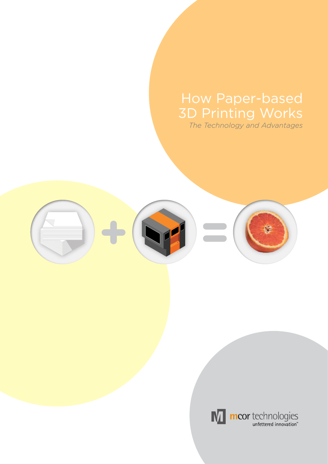# How Paper-based 3D Printing Works

*The Technology and Advantages*





mcor technologies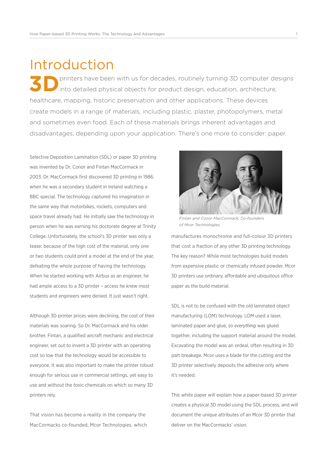### Introduction

**3D** printers have been with us for decades, routinely turning 3D computer designs into detailed physical objects for product design, education, architecture, healthcare, mapping, historic preservation and other applications. These devices create models in a range of materials, including plastic, plaster, photopolymers, metal and sometimes even food. Each of these materials brings inherent advantages and disadvantages, depending upon your application. There's one more to consider: paper.

Selective Deposition Lamination (SDL) or paper 3D printing was invented by Dr. Conor and Fintan MacCormack in 2003. Dr. MacCormack first discovered 3D printing in 1986, when he was a secondary student in Ireland watching a BBC special. The technology captured his imagination in the same way that motorbikes, rockets, computers and space travel already had. He initially saw the technology in person when he was earning his doctorate degree at Trinity College. Unfortunately, the school's 3D printer was only a tease: because of the high cost of the material, only one or two students could print a model at the end of the year, defeating the whole purpose of having the technology. When he started working with Airbus as an engineer, he had ample access to a 3D printer – access he knew most students and engineers were denied. It just wasn't right.

Although 3D printer prices were declining, the cost of their materials was soaring. So Dr. MacCormack and his older brother, Fintan, a qualified aircraft mechanic and electrical engineer, set out to invent a 3D printer with an operating cost so low that the technology would be accessible to everyone. It was also important to make the printer robust enough for serious use in commercial settings, yet easy to use and without the toxic chemicals on which so many 3D printers rely.

That vision has become a reality in the company the MacCormacks co-founded, Mcor Technologies, which



*Fintan and Conor MacCormack, Co-founders of Mcor Technologies.*

manufactures monochrome and full-colour 3D printers that cost a fraction of any other 3D printing technology. The key reason? While most technologies build models from expensive plastic or chemically infused powder, Mcor 3D printers use ordinary, affordable and ubiquitous office paper as the build material.

SDL is not to be confused with the old laminated object manufacturing (LOM) technology. LOM used a laser, laminated paper and glue, so *everything* was glued together, including the support material around the model. Excavating the model was an ordeal, often resulting in 3D part breakage. Mcor uses a blade for the cutting and the 3D printer selectively deposits the adhesive only where it's needed.

This white paper will explain how a paper-based 3D printer creates a physical 3D model using the SDL process, and will document the unique attributes of an Mcor 3D printer that deliver on the MacCormacks' vision.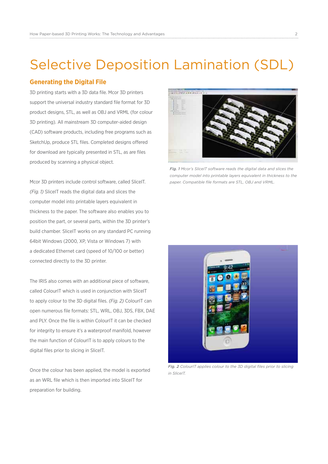# Selective Deposition Lamination (SDL)

#### **Generating the Digital File**

3D printing starts with a 3D data file. Mcor 3D printers support the universal industry standard file format for 3D product designs, STL, as well as OBJ and VRML (for colour 3D printing). All mainstream 3D computer-aided design (CAD) software products, including free programs such as SketchUp, produce STL files. Completed designs offered for download are typically presented in STL, as are files produced by scanning a physical object.

Mcor 3D printers include control software, called SliceIT. *(Fig. 1)* SliceIT reads the digital data and slices the computer model into printable layers equivalent in thickness to the paper. The software also enables you to position the part, or several parts, within the 3D printer's build chamber. SliceIT works on any standard PC running 64bit Windows (2000, XP, Vista or Windows 7) with a dedicated Ethernet card (speed of 10/100 or better) connected directly to the 3D printer.

The IRIS also comes with an additional piece of software, called ColourIT which is used in conjunction with SliceIT to apply colour to the 3D digital files. *(Fig. 2)* ColourIT can open numerous file formats: STL, WRL, OBJ, 3DS, FBX, DAE and PLY. Once the file is within ColourIT it can be checked for integrity to ensure it's a waterproof manifold, however the main function of ColourIT is to apply colours to the digital files prior to slicing in SliceIT.

Once the colour has been applied, the model is exported as an WRL file which is then imported into SliceIT for preparation for building.



*Fig. 1 Mcor's SliceIT software reads the digital data and slices the computer model into printable layers equivalent in thickness to the paper. Compatible file formats are STL, OBJ and VRML.*



*Fig. 2 ColourIT applies colour to the 3D digital files prior to slicing in SliceIT.*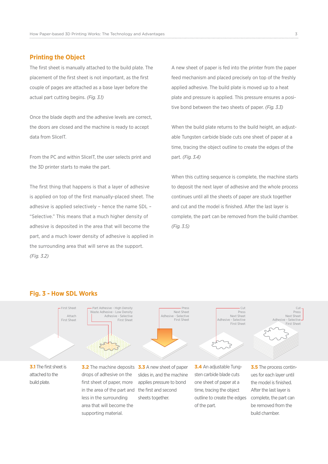#### **Printing the Object**

The first sheet is manually attached to the build plate. The placement of the first sheet is not important, as the first couple of pages are attached as a base layer before the actual part cutting begins. *(Fig. 3.1)*

Once the blade depth and the adhesive levels are correct, the doors are closed and the machine is ready to accept data from SliceIT.

From the PC and within SliceIT, the user selects print and the 3D printer starts to make the part.

The first thing that happens is that a layer of adhesive is applied on top of the first manually-placed sheet. The adhesive is applied selectively – hence the name SDL – "Selective." This means that a much higher density of adhesive is deposited in the area that will become the part, and a much lower density of adhesive is applied in the surrounding area that will serve as the support. *(Fig. 3.2)*

A new sheet of paper is fed into the printer from the paper feed mechanism and placed precisely on top of the freshly applied adhesive. The build plate is moved up to a heat plate and pressure is applied. This pressure ensures a positive bond between the two sheets of paper. *(Fig. 3.3)*

When the build plate returns to the build height, an adjustable Tungsten carbide blade cuts one sheet of paper at a time, tracing the object outline to create the edges of the part. *(Fig. 3.4)*

When this cutting sequence is complete, the machine starts to deposit the next layer of adhesive and the whole process continues until all the sheets of paper are stuck together and cut and the model is finished. After the last layer is complete, the part can be removed from the build chamber. *(Fig. 3.5)*

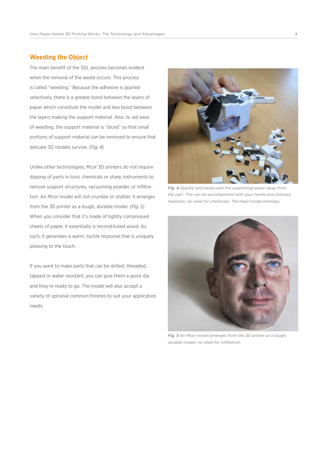#### **Weeding the Object**

The main benefit of the SDL process becomes evident when the removal of the waste occurs. This process is called "weeding." Because the adhesive is applied selectively, there is a greater bond between the layers of paper which constitute the model and less bond between the layers making the support material. Also, to aid ease of weeding, the support material is "diced" so that small portions of support material can be removed to ensure that delicate 3D models survive. *(Fig. 4)*

Unlike other technologies, Mcor 3D printers do not require dipping of parts in toxic chemicals or sharp instruments to remove support structures, vacuuming powder, or infiltration. An Mcor model will not crumble or shatter. It emerges from the 3D printer as a tough, durable model. *(Fig. 5)* When you consider that it's made of tightly compressed sheets of paper, it essentially is reconstituted wood. As such, it generates a warm, tactile response that is uniquely pleasing to the touch.

If you want to make parts that can be drilled, threaded, tapped or water resistant, you can give them a quick dip and they're ready to go. The model will also accept a variety of optional common finishes to suit your application needs.



*Fig. 4 Quickly and easily peel the supporting paper away from the part. This can be accomplished with your hands and ordinary tweezers; no need for chemicals. The head model emerges.*



*Fig. 5 An Mcor model emerges from the 3D printer as a tough, durable model; no need for infiltration.*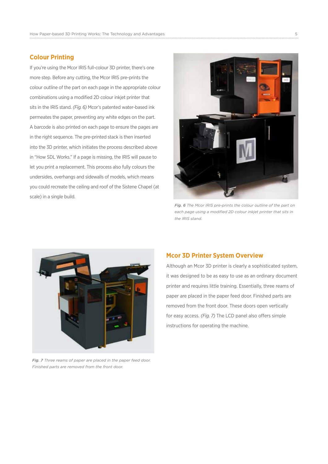#### **Colour Printing**

If you're using the Mcor IRIS full-colour 3D printer, there's one more step. Before any cutting, the Mcor IRIS pre-prints the colour outline of the part on each page in the appropriate colour combinations using a modified 2D colour inkjet printer that sits in the IRIS stand. *(Fig. 6)* Mcor's patented water-based ink permeates the paper, preventing any white edges on the part. A barcode is also printed on each page to ensure the pages are in the right sequence. The pre-printed stack is then inserted into the 3D printer, which initiates the process described above in "How SDL Works." If a page is missing, the IRIS will pause to let you print a replacement. This process also fully colours the undersides, overhangs and sidewalls of models, which means you could recreate the ceiling and roof of the Sistene Chapel (at scale) in a single build.



*Fig. 6 The Mcor IRIS pre-prints the colour outline of the part on each page using a modified 2D colour inkjet printer that sits in the IRIS stand.*



*Fig. 7 Three reams of paper are placed in the paper feed door. Finished parts are removed from the front door.*

#### **Mcor 3D Printer System Overview**

Although an Mcor 3D printer is clearly a sophisticated system, it was designed to be as easy to use as an ordinary document printer and requires little training. Essentially, three reams of paper are placed in the paper feed door. Finished parts are removed from the front door. These doors open vertically for easy access. *(Fig. 7)* The LCD panel also offers simple instructions for operating the machine.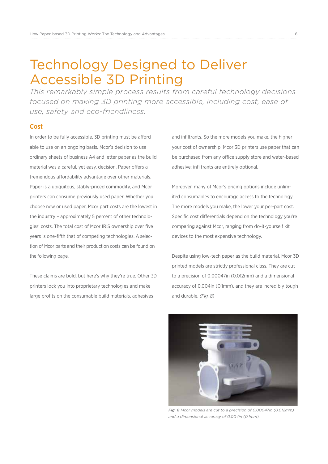# Technology Designed to Deliver Accessible 3D Printing

*This remarkably simple process results from careful technology decisions focused on making 3D printing more accessible, including cost, ease of use, safety and eco-friendliness.*

#### **Cost**

In order to be fully accessible, 3D printing must be affordable to use on an ongoing basis. Mcor's decision to use ordinary sheets of business A4 and letter paper as the build material was a careful, yet easy, decision. Paper offers a tremendous affordability advantage over other materials. Paper is a ubiquitous, stably-priced commodity, and Mcor printers can consume previously used paper. Whether you choose new or used paper, Mcor part costs are the lowest in the industry – approximately 5 percent of other technologies' costs. The total cost of Mcor IRIS ownership over five years is one-fifth that of competing technologies. A selection of Mcor parts and their production costs can be found on the following page.

These claims are bold, but here's why they're true. Other 3D printers lock you into proprietary technologies and make large profits on the consumable build materials, adhesives

and infiltrants. So the more models you make, the higher your cost of ownership. Mcor 3D printers use paper that can be purchased from any office supply store and water-based adhesive; infiltrants are entirely optional.

Moreover, many of Mcor's pricing options include unlimited consumables to encourage access to the technology. The more models you make, the lower your per-part cost. Specific cost differentials depend on the technology you're comparing against Mcor, ranging from do-it-yourself kit devices to the most expensive technology.

Despite using low-tech paper as the build material, Mcor 3D printed models are strictly professional class. They are cut to a precision of 0.00047in (0.012mm) and a dimensional accuracy of 0.004in (0.1mm), and they are incredibly tough and durable. *(Fig. 8)*



*Fig. 8 Mcor models are cut to a precision of 0.00047in (0.012mm) and a dimensional accuracy of 0.004in (0.1mm).*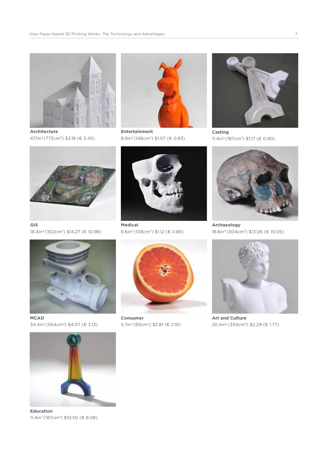

**Architecture** 47.1in<sup>3</sup> (773cm<sup>3</sup>) \$3.18 (€ 2.45)



**Entertainment** 8.9in<sup>3</sup> (146cm<sup>3</sup>)  $$1.07$  ( $$0.83$ )



**Casting** 11.4in<sup>3</sup> (187cm<sup>3</sup>) \$1.17 (€ 0.90)



**GIS** 18.4in<sup>3</sup> (302cm<sup>3</sup>) \$14.27 (€ 10.98)



**Medical** 6.6in<sup>3</sup> (108cm<sup>3</sup>) \$1.12 (€ 0.86)



**Archaeology** 18.6in<sup>3</sup> (304cm<sup>3</sup>) \$13.06 (€ 10.05)



**MCAD**  $34.4$ in<sup>3</sup> (564cm<sup>3</sup>) \$4.07 (€ 3.13)



**Consumer** 5.7in<sup>3</sup> (93cm<sup>3</sup>) \$2.81 (€ 2.16)



**Art and Culture** 20.4in<sup>3</sup> (334cm<sup>3</sup>) \$2.29 (€ 1.77)



**Education** 11.4in<sup>3</sup> (187cm<sup>3</sup>) \$10.50 (€ 8.08)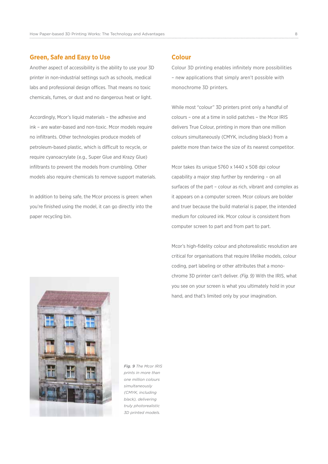#### **Green, Safe and Easy to Use**

Another aspect of accessibility is the ability to use your 3D printer in non-industrial settings such as schools, medical labs and professional design offices. That means no toxic chemicals, fumes, or dust and no dangerous heat or light.

Accordingly, Mcor's liquid materials – the adhesive and ink – are water-based and non-toxic. Mcor models require no infiltrants. Other technologies produce models of petroleum-based plastic, which is difficult to recycle, or require cyanoacrylate (e.g., Super Glue and Krazy Glue) infiltrants to prevent the models from crumbling. Other models also require chemicals to remove support materials.

In addition to being safe, the Mcor process is green: when you're finished using the model, it can go directly into the paper recycling bin.

#### **Colour**

Colour 3D printing enables infinitely more possibilities – new applications that simply aren't possible with monochrome 3D printers.

While most "colour" 3D printers print only a handful of colours – one at a time in solid patches – the Mcor IRIS delivers True Colour, printing in more than one million colours simultaneously (CMYK, including black) from a palette more than twice the size of its nearest competitor.

Mcor takes its unique 5760 x 1440 x 508 dpi colour capability a major step further by rendering – on all surfaces of the part – colour as rich, vibrant and complex as it appears on a computer screen. Mcor colours are bolder and truer because the build material is paper, the intended medium for coloured ink. Mcor colour is consistent from computer screen to part and from part to part.

Mcor's high-fidelity colour and photorealistic resolution are critical for organisations that require lifelike models, colour coding, part labeling or other attributes that a monochrome 3D printer can't deliver. *(Fig. 9)* With the IRIS, what you see on your screen is what you ultimately hold in your hand, and that's limited only by your imagination.

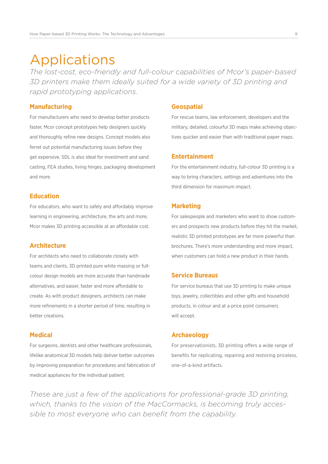## Applications

*The lost-cost, eco-friendly and full-colour capabilities of Mcor's paper-based 3D printers make them ideally suited for a wide variety of 3D printing and rapid prototyping applications.*

#### **Manufacturing**

For manufacturers who need to develop better products faster, Mcor concept prototypes help designers quickly and thoroughly refine new designs. Concept models also ferret out potential manufacturing issues before they get expensive. SDL is also ideal for investment and sand casting, FEA studies, living hinges, packaging development and more.

#### **Education**

For educators, who want to safely and affordably improve learning in engineering, architecture, the arts and more, Mcor makes 3D printing accessible at an affordable cost.

#### **Architecture**

For architects who need to collaborate closely with teams and clients, 3D printed pure white massing or fullcolour design models are more accurate than handmade alternatives, and easier, faster and more affordable to create. As with product designers, architects can make more refinements in a shorter period of time, resulting in better creations.

#### **Medical**

For surgeons, dentists and other healthcare professionals, lifelike anatomical 3D models help deliver better outcomes by improving preparation for procedures and fabrication of medical appliances for the individual patient.

#### **Geospatial**

For rescue teams, law enforcement, developers and the military, detailed, colourful 3D maps make achieving objectives quicker and easier than with traditional paper maps.

#### **Entertainment**

For the entertainment industry, full-colour 3D printing is a way to bring characters, settings and adventures into the third dimension for maximum impact.

#### **Marketing**

For salespeople and marketers who want to show customers and prospects new products before they hit the market, realistic 3D printed prototypes are far more powerful than brochures. There's more understanding and more impact, when customers can hold a new product in their hands.

#### **Service Bureaus**

For service bureaus that use 3D printing to make unique toys, jewelry, collectibles and other gifts and household products, in colour and at a price point consumers will accept.

#### **Archaeology**

For preservationists, 3D printing offers a wide range of benefits for replicating, repairing and restoring priceless, one-of-a-kind artifacts.

*These are just a few of the applications for professional-grade 3D printing, which, thanks to the vision of the MacCormacks, is becoming truly accessible to most everyone who can benefit from the capability.*